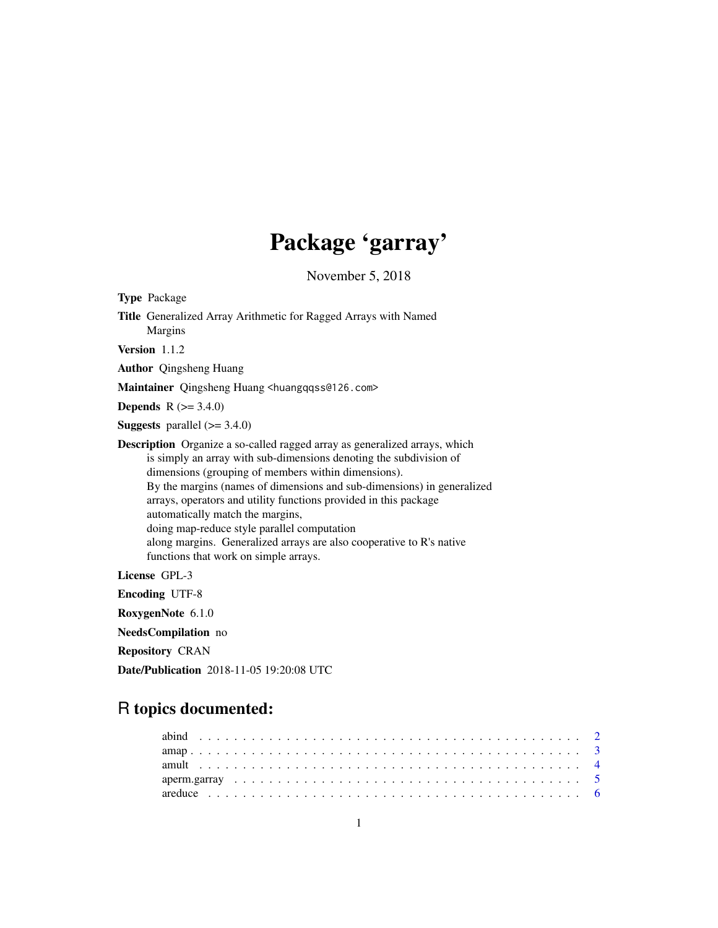# Package 'garray'

November 5, 2018

| <b>Type Package</b>                                                                                                                                                                                                                                                                                                                                                                                                                                                                                                                                              |
|------------------------------------------------------------------------------------------------------------------------------------------------------------------------------------------------------------------------------------------------------------------------------------------------------------------------------------------------------------------------------------------------------------------------------------------------------------------------------------------------------------------------------------------------------------------|
| Title Generalized Array Arithmetic for Ragged Arrays with Named<br>Margins                                                                                                                                                                                                                                                                                                                                                                                                                                                                                       |
| Version $1.1.2$                                                                                                                                                                                                                                                                                                                                                                                                                                                                                                                                                  |
| <b>Author</b> Qingsheng Huang                                                                                                                                                                                                                                                                                                                                                                                                                                                                                                                                    |
| Maintainer Qingsheng Huang <huangqqss@126.com></huangqqss@126.com>                                                                                                                                                                                                                                                                                                                                                                                                                                                                                               |
| <b>Depends</b> $R (= 3.4.0)$                                                                                                                                                                                                                                                                                                                                                                                                                                                                                                                                     |
| <b>Suggests</b> parallel $(>= 3.4.0)$                                                                                                                                                                                                                                                                                                                                                                                                                                                                                                                            |
| <b>Description</b> Organize a so-called ragged array as generalized arrays, which<br>is simply an array with sub-dimensions denoting the subdivision of<br>dimensions (grouping of members within dimensions).<br>By the margins (names of dimensions and sub-dimensions) in generalized<br>arrays, operators and utility functions provided in this package<br>automatically match the margins,<br>doing map-reduce style parallel computation<br>along margins. Generalized arrays are also cooperative to R's native<br>functions that work on simple arrays. |
| License GPL-3                                                                                                                                                                                                                                                                                                                                                                                                                                                                                                                                                    |
| <b>Encoding UTF-8</b>                                                                                                                                                                                                                                                                                                                                                                                                                                                                                                                                            |
| RoxygenNote 6.1.0                                                                                                                                                                                                                                                                                                                                                                                                                                                                                                                                                |
| NeedsCompilation no                                                                                                                                                                                                                                                                                                                                                                                                                                                                                                                                              |
| <b>Repository CRAN</b>                                                                                                                                                                                                                                                                                                                                                                                                                                                                                                                                           |
| <b>Date/Publication</b> 2018-11-05 19:20:08 UTC                                                                                                                                                                                                                                                                                                                                                                                                                                                                                                                  |

## R topics documented: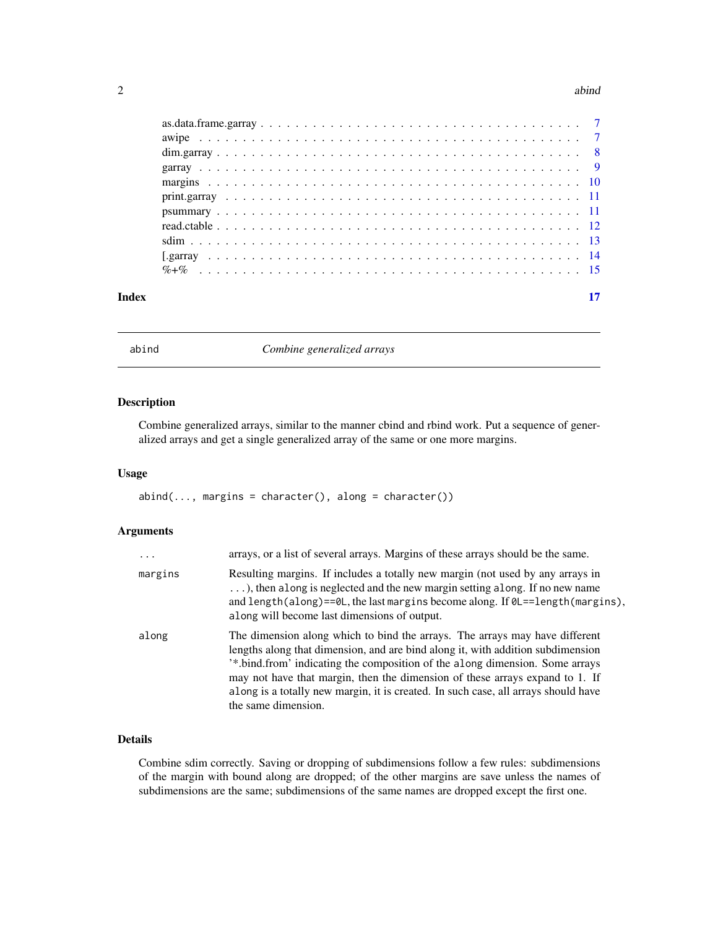#### <span id="page-1-0"></span> $2 \cos \theta$  abind

#### **Index** [17](#page-16-0)

abind *Combine generalized arrays*

## Description

Combine generalized arrays, similar to the manner cbind and rbind work. Put a sequence of generalized arrays and get a single generalized array of the same or one more margins.

#### Usage

 $abind(..., margins = character(), along = character())$ 

## Arguments

| $\ddots$ . | arrays, or a list of several arrays. Margins of these arrays should be the same.                                                                                                                                                                                                                                                                                                                                                                        |
|------------|---------------------------------------------------------------------------------------------------------------------------------------------------------------------------------------------------------------------------------------------------------------------------------------------------------------------------------------------------------------------------------------------------------------------------------------------------------|
| margins    | Resulting margins. If includes a totally new margin (not used by any arrays in<br>), then along is neglected and the new margin setting along. If no new name<br>and length(along)== $0L$ , the last margins become along. If $0L == length(margins)$ ,<br>along will become last dimensions of output.                                                                                                                                                 |
| along      | The dimension along which to bind the arrays. The arrays may have different<br>lengths along that dimension, and are bind along it, with addition subdimension<br><sup>2</sup> *.bind.from' indicating the composition of the along dimension. Some arrays<br>may not have that margin, then the dimension of these arrays expand to 1. If<br>along is a totally new margin, it is created. In such case, all arrays should have<br>the same dimension. |

## Details

Combine sdim correctly. Saving or dropping of subdimensions follow a few rules: subdimensions of the margin with bound along are dropped; of the other margins are save unless the names of subdimensions are the same; subdimensions of the same names are dropped except the first one.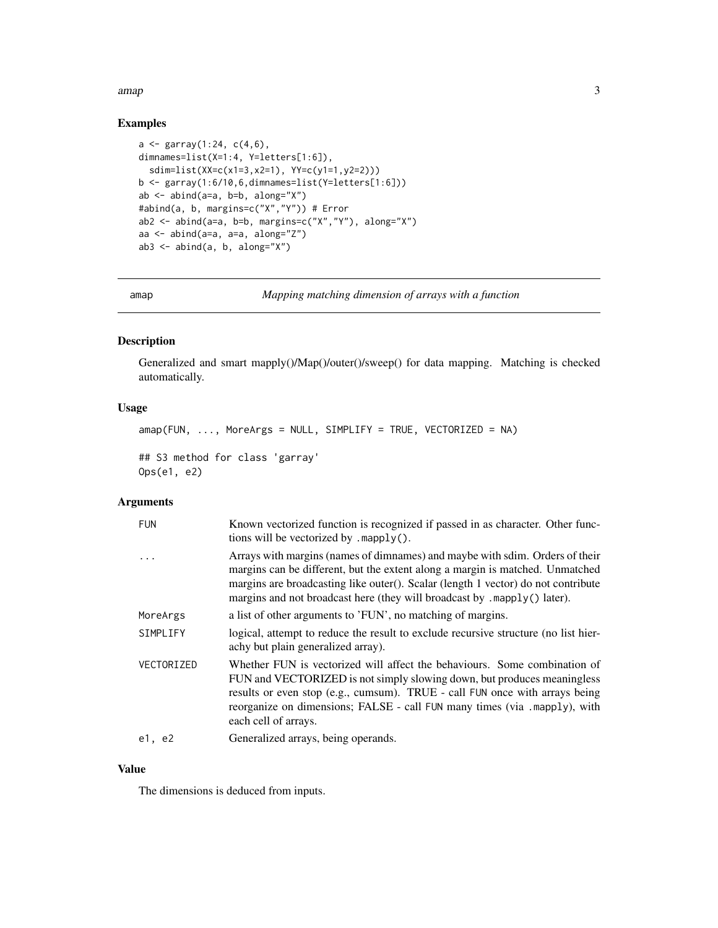#### <span id="page-2-0"></span>amap 3

## Examples

```
a \leq garray(1:24, c(4, 6),
dimnames=list(X=1:4, Y=letters[1:6]),
  sdim=list(XX=c(x1=3,x2=1), YY=c(y1=1,y2=2)))
b <- garray(1:6/10,6,dimnames=list(Y=letters[1:6]))
ab \leq abind(a=a, b=b, along="X")
#abind(a, b, margins=c("X","Y")) # Error
ab2 <- abind(a=a, b=b, margins=c("X","Y"), along="X")
aa <- abind(a=a, a=a, along="Z")
ab3 \leq abind(a, b, along="X")
```
amap *Mapping matching dimension of arrays with a function*

## Description

Generalized and smart mapply()/Map()/outer()/sweep() for data mapping. Matching is checked automatically.

## Usage

```
amp(FUN, ..., MoreArgs = NULL, SIMPLIFY = TRUE, VECTORIZED = NA)## S3 method for class 'garray'
Ops(e1, e2)
```
## Arguments

| <b>FUN</b> | Known vectorized function is recognized if passed in as character. Other func-<br>tions will be vectorized by $mapply()$ .                                                                                                                                                                                                               |
|------------|------------------------------------------------------------------------------------------------------------------------------------------------------------------------------------------------------------------------------------------------------------------------------------------------------------------------------------------|
| .          | Arrays with margins (names of dimnames) and maybe with sdim. Orders of their<br>margins can be different, but the extent along a margin is matched. Unmatched<br>margins are broadcasting like outer(). Scalar (length 1 vector) do not contribute<br>margins and not broadcast here (they will broadcast by .mapply() later).           |
| MoreArgs   | a list of other arguments to 'FUN', no matching of margins.                                                                                                                                                                                                                                                                              |
| SIMPLIFY   | logical, attempt to reduce the result to exclude recursive structure (no list hier-<br>achy but plain generalized array).                                                                                                                                                                                                                |
| VECTORIZED | Whether FUN is vectorized will affect the behaviours. Some combination of<br>FUN and VECTORIZED is not simply slowing down, but produces meaningless<br>results or even stop (e.g., cumsum). TRUE - call FUN once with arrays being<br>reorganize on dimensions; FALSE - call FUN many times (via .mapply), with<br>each cell of arrays. |
| e1, e2     | Generalized arrays, being operands.                                                                                                                                                                                                                                                                                                      |

## Value

The dimensions is deduced from inputs.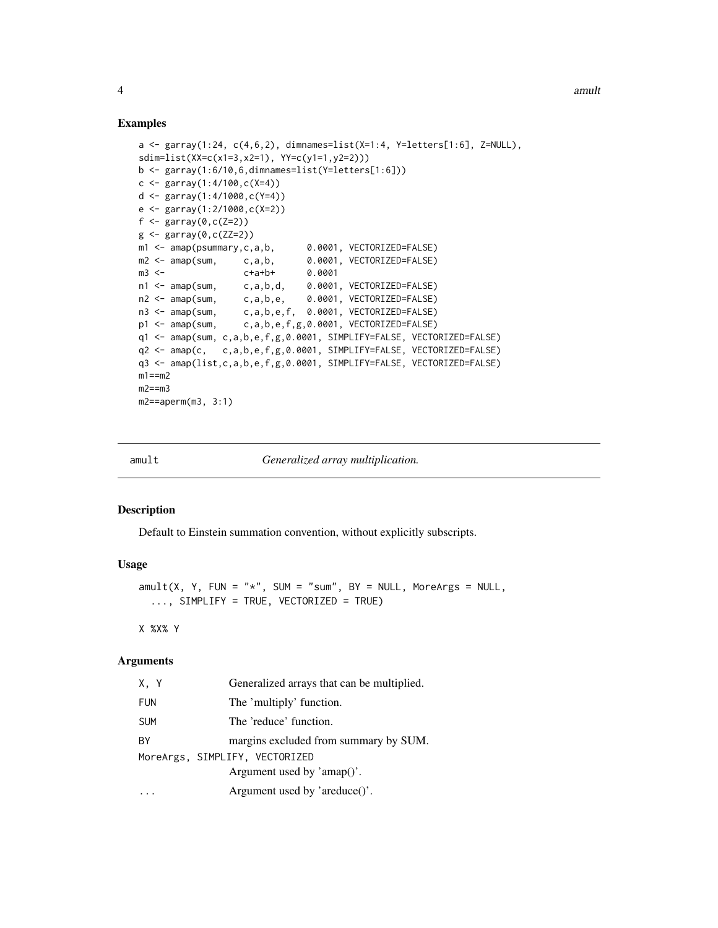#### Examples

```
a <- garray(1:24, c(4,6,2), dimnames=list(X=1:4, Y=letters[1:6], Z=NULL),
sdim=list(XX=c(x1=3,x2=1), YY=c(y1=1,y2=2)))
b \leq garray(1:6/10,6,dimnames=list(Y=letters[1:6]))
c \leq - garray(1:4/100,c(X=4))
d <- garray(1:4/1000,c(Y=4))
e <- garray(1:2/1000,c(X=2))
f \leftarrow garray(0,c(Z=2))
g \leftarrow garray(0,c(ZZ=2))
m1 <- amap(psummary,c,a,b, 0.0001, VECTORIZED=FALSE)
m2 <- amap(sum, c,a,b, 0.0001, VECTORIZED=FALSE)
m3 <- c+a+b+ 0.0001
n1 <- amap(sum, c,a,b,d, 0.0001, VECTORIZED=FALSE)
n2 <- amap(sum, c,a,b,e, 0.0001, VECTORIZED=FALSE)
n3 <- amap(sum, c,a,b,e,f, 0.0001, VECTORIZED=FALSE)
p1 <- amap(sum, c,a,b,e,f,g,0.0001, VECTORIZED=FALSE)
q1 <- amap(sum, c,a,b,e,f,g,0.0001, SIMPLIFY=FALSE, VECTORIZED=FALSE)
q2 <- amap(c, c,a,b,e,f,g,0.0001, SIMPLIFY=FALSE, VECTORIZED=FALSE)
q3 <- amap(list,c,a,b,e,f,g,0.0001, SIMPLIFY=FALSE, VECTORIZED=FALSE)
m1 == m2m2 == m3m2==aperm(m3, 3:1)
```
amult *Generalized array multiplication.*

#### Description

Default to Einstein summation convention, without explicitly subscripts.

#### Usage

 $amult(X, Y, FUN = "*", SUM = "sum", BY = NULL, MoreArgs = NULL,$ ..., SIMPLIFY = TRUE, VECTORIZED = TRUE)

X %X% Y

| X.Y        | Generalized arrays that can be multiplied. |  |
|------------|--------------------------------------------|--|
| <b>FUN</b> | The 'multiply' function.                   |  |
| <b>SUM</b> | The 'reduce' function.                     |  |
| ВY         | margins excluded from summary by SUM.      |  |
|            | MoreArgs, SIMPLIFY, VECTORIZED             |  |
|            | Argument used by $'amp()'.$                |  |
|            | Argument used by 'areduce()'.              |  |

<span id="page-3-0"></span>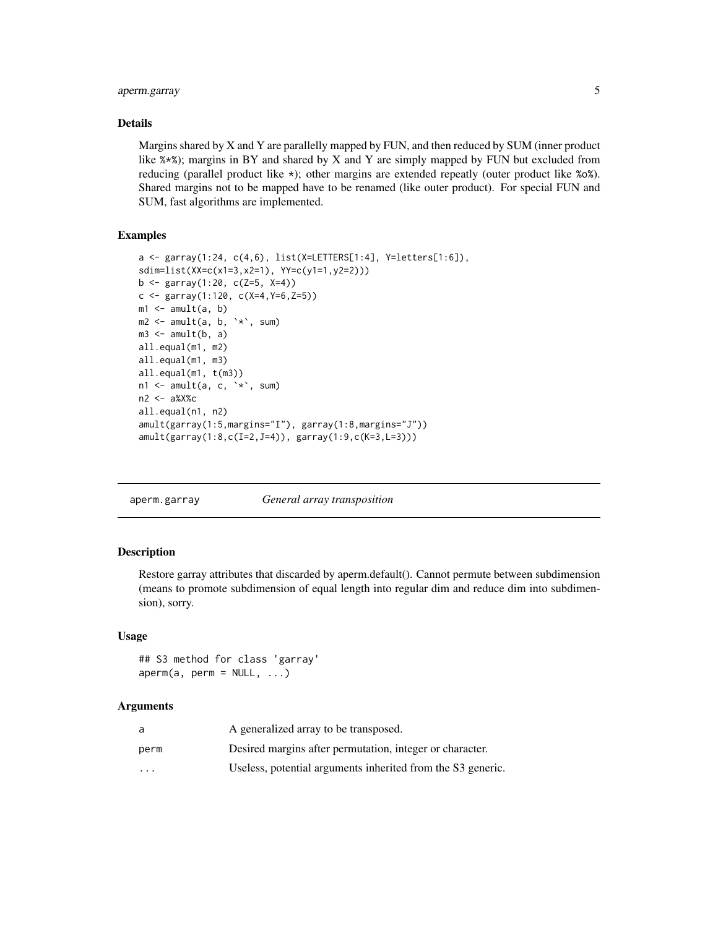## <span id="page-4-0"></span>aperm.garray 5

## Details

Margins shared by X and Y are parallelly mapped by FUN, and then reduced by SUM (inner product like %\*%); margins in BY and shared by X and Y are simply mapped by FUN but excluded from reducing (parallel product like \*); other margins are extended repeatly (outer product like %o%). Shared margins not to be mapped have to be renamed (like outer product). For special FUN and SUM, fast algorithms are implemented.

## Examples

```
a <- garray(1:24, c(4,6), list(X=LETTERS[1:4], Y=letters[1:6]),
sdim=list(XX=c(x1=3,x2=1), YY=c(y1=1,y2=2)))
b <- garray(1:20, c(Z=5, X=4))
c <- garray(1:120, c(X=4,Y=6,Z=5))
m1 \leq -amult(a, b)m2 \le amult(a, b, `*`, sum)
m3 \le amult(b, a)
all.equal(m1, m2)
all.equal(m1, m3)
all.equal(m1, t(m3))
n1 \leq amult(a, c, \leq, sum)
n2 <- a%X%c
all.equal(n1, n2)
amult(garray(1:5,margins="I"), garray(1:8,margins="J"))
amult(garray(1:8,c(I=2,J=4)), garray(1:9,c(K=3,L=3)))
```
aperm.garray *General array transposition*

## Description

Restore garray attributes that discarded by aperm.default(). Cannot permute between subdimension (means to promote subdimension of equal length into regular dim and reduce dim into subdimension), sorry.

#### Usage

## S3 method for class 'garray'  $aperm(a, perm = NULL, ...)$ 

| a                       | A generalized array to be transposed.                       |
|-------------------------|-------------------------------------------------------------|
| perm                    | Desired margins after permutation, integer or character.    |
| $\cdot$ $\cdot$ $\cdot$ | Useless, potential arguments inherited from the S3 generic. |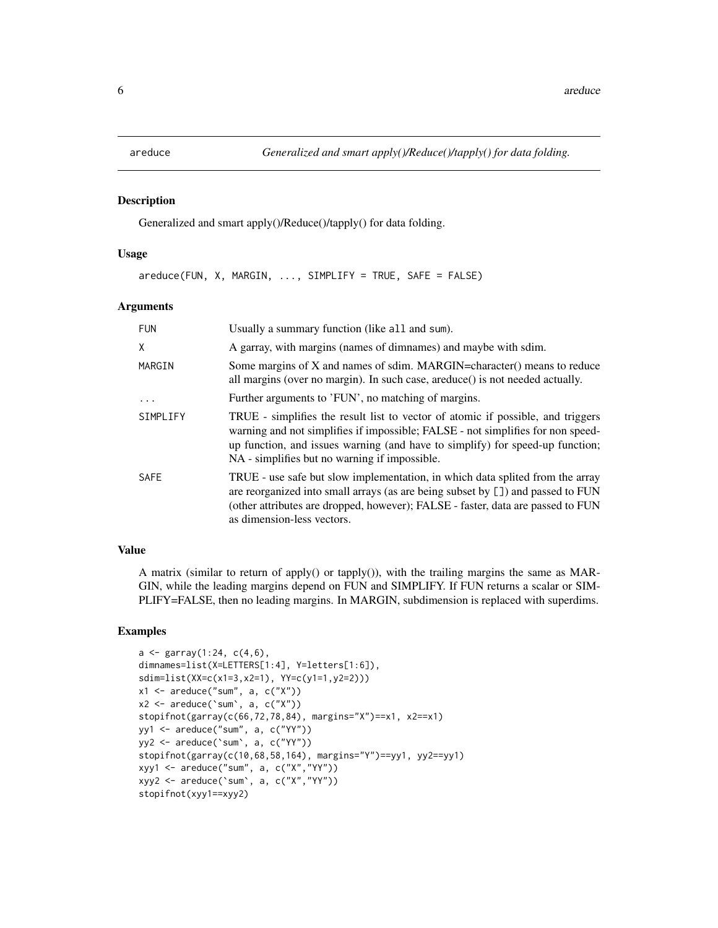<span id="page-5-0"></span>

#### Description

Generalized and smart apply()/Reduce()/tapply() for data folding.

#### Usage

areduce(FUN, X, MARGIN, ..., SIMPLIFY = TRUE, SAFE = FALSE)

#### Arguments

| <b>FUN</b>  | Usually a summary function (like all and sum).                                                                                                                                                                                                                                                       |
|-------------|------------------------------------------------------------------------------------------------------------------------------------------------------------------------------------------------------------------------------------------------------------------------------------------------------|
| X           | A garray, with margins (names of dimnames) and maybe with sdim.                                                                                                                                                                                                                                      |
| MARGIN      | Some margins of X and names of sdim. MARGIN=character() means to reduce<br>all margins (over no margin). In such case, areduce() is not needed actually.                                                                                                                                             |
| $\ddotsc$   | Further arguments to 'FUN', no matching of margins.                                                                                                                                                                                                                                                  |
| SIMPLIFY    | TRUE - simplifies the result list to vector of atomic if possible, and triggers<br>warning and not simplifies if impossible; FALSE - not simplifies for non speed-<br>up function, and issues warning (and have to simplify) for speed-up function;<br>NA - simplifies but no warning if impossible. |
| <b>SAFE</b> | TRUE - use safe but slow implementation, in which data splited from the array<br>are reorganized into small arrays (as are being subset by []) and passed to FUN<br>(other attributes are dropped, however); FALSE - faster, data are passed to FUN<br>as dimension-less vectors.                    |

#### Value

A matrix (similar to return of apply() or tapply()), with the trailing margins the same as MAR-GIN, while the leading margins depend on FUN and SIMPLIFY. If FUN returns a scalar or SIM-PLIFY=FALSE, then no leading margins. In MARGIN, subdimension is replaced with superdims.

## Examples

```
a \leq garray(1:24, c(4, 6),
dimnames=list(X=LETTERS[1:4], Y=letters[1:6]),
sdim=list(XX=c(x1=3,x2=1), YY=c(y1=1,y2=2)))
x1 \leq -\text{ areduce("sum", a, c("X"))}x2 \le - areduce('sum', a, c("X"))
stopifnot(garray(c(66,72,78,84), margins="X")==x1, x2==x1)
yy1 <- areduce("sum", a, c("YY"))
yy2 <- areduce(`sum`, a, c("YY"))
stopifnot(garray(c(10,68,58,164), margins="Y")==yy1, yy2==yy1)
xyy1 <- areduce("sum", a, c("X","YY"))
xyy2 <- areduce(`sum`, a, c("X","YY"))
stopifnot(xyy1==xyy2)
```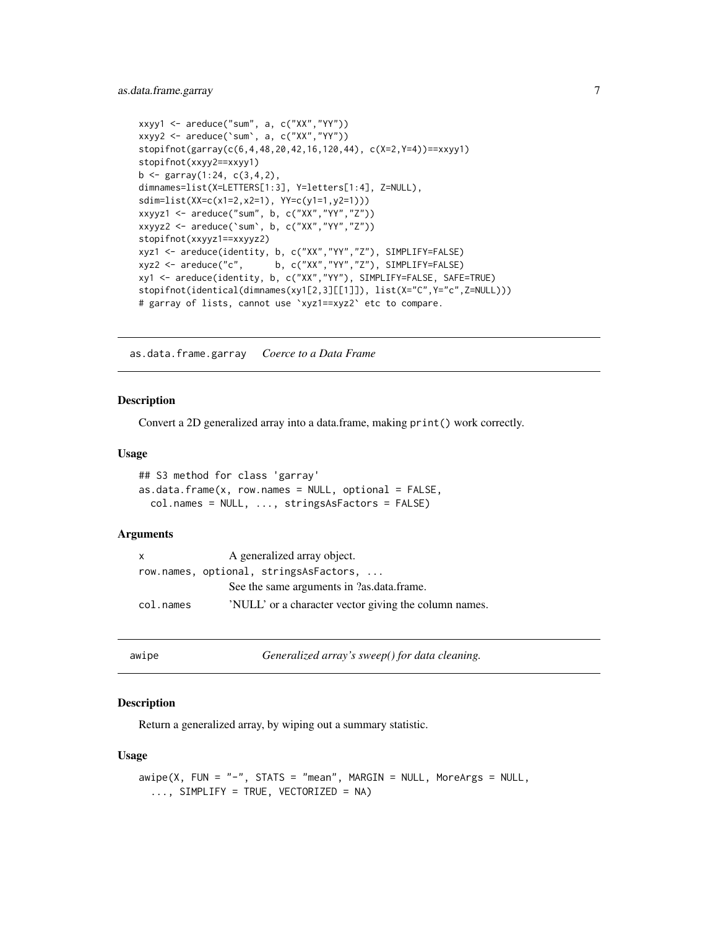```
xxyy1 <- areduce("sum", a, c("XX","YY"))
xxyy2 <- areduce(`sum`, a, c("XX","YY"))
stopifnot(garray(c(6,4,48,20,42,16,120,44), c(X=2,Y=4))==xxyy1)
stopifnot(xxyy2==xxyy1)
b \leq garray(1:24, c(3, 4, 2),
dimnames=list(X=LETTERS[1:3], Y=letters[1:4], Z=NULL),
sdim=list(XX=c(x1=2,x2=1), YY=c(y1=1,y2=1)))
xxyyz1 <- areduce("sum", b, c("XX","YY","Z"))
xxyyz2 <- areduce(`sum`, b, c("XX","YY","Z"))
stopifnot(xxyyz1==xxyyz2)
xyz1 <- areduce(identity, b, c("XX","YY","Z"), SIMPLIFY=FALSE)
xyz2 <- areduce("c", b, c("XX","YY","Z"), SIMPLIFY=FALSE)
xy1 <- areduce(identity, b, c("XX","YY"), SIMPLIFY=FALSE, SAFE=TRUE)
stopifnot(identical(dimnames(xy1[2,3][[1]]), list(X="C",Y="c",Z=NULL)))
# garray of lists, cannot use `xyz1==xyz2` etc to compare.
```
as.data.frame.garray *Coerce to a Data Frame*

#### Description

Convert a 2D generalized array into a data.frame, making print() work correctly.

#### Usage

```
## S3 method for class 'garray'
as.data.frame(x, row.names = NULL, optional = FALSE,
 col.names = NULL, ..., stringsAsFactors = FALSE)
```
#### Arguments

| $\mathsf{x}$ | A generalized array object.                           |  |
|--------------|-------------------------------------------------------|--|
|              | row.names, optional, stringsAsFactors,                |  |
|              | See the same arguments in ?as.data.frame.             |  |
| col.names    | 'NULL' or a character vector giving the column names. |  |

awipe *Generalized array's sweep() for data cleaning.*

## Description

Return a generalized array, by wiping out a summary statistic.

#### Usage

```
awipe(X, FUN = "-", STATS = "mean", MARGIN = NULL, MoreArgs = NULL,
  ..., SIMPLIFY = TRUE, VECTORIZED = NA)
```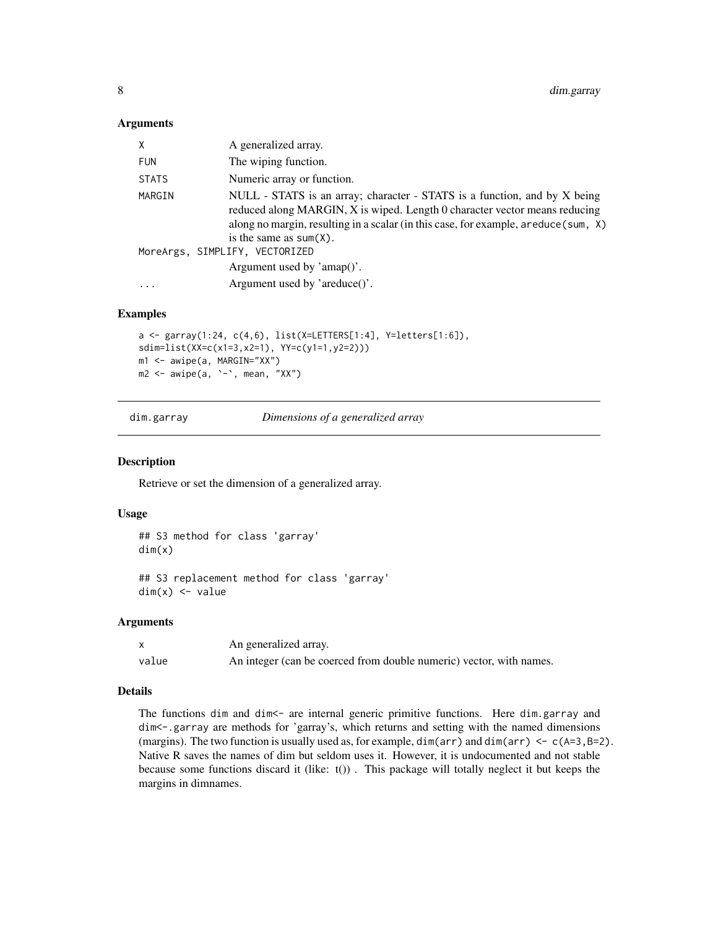#### <span id="page-7-0"></span>Arguments

| X            | A generalized array.                                                                                                                                                                                                                                                         |
|--------------|------------------------------------------------------------------------------------------------------------------------------------------------------------------------------------------------------------------------------------------------------------------------------|
| <b>FUN</b>   | The wiping function.                                                                                                                                                                                                                                                         |
| <b>STATS</b> | Numeric array or function.                                                                                                                                                                                                                                                   |
| MARGIN       | NULL - STATS is an array; character - STATS is a function, and by X being<br>reduced along MARGIN, X is wiped. Length 0 character vector means reducing<br>along no margin, resulting in a scalar (in this case, for example, a reduce (sum, X)<br>is the same as $sum(X)$ . |
|              | MoreArgs, SIMPLIFY, VECTORIZED                                                                                                                                                                                                                                               |
|              | Argument used by 'amap()'.                                                                                                                                                                                                                                                   |
| $\ddotsc$    | Argument used by 'areduce()'.                                                                                                                                                                                                                                                |

#### Examples

```
a <- garray(1:24, c(4,6), list(X=LETTERS[1:4], Y=letters[1:6]),
sdim=list(XX=c(x1=3,x2=1), YY=c(y1=1,y2=2)))
m1 <- awipe(a, MARGIN="XX")
m2 <- awipe(a, `-`, mean, "XX")
```
dim.garray *Dimensions of a generalized array*

#### Description

Retrieve or set the dimension of a generalized array.

#### Usage

```
## S3 method for class 'garray'
dim(x)
```
## S3 replacement method for class 'garray'  $dim(x)$  <- value

#### Arguments

|       | An generalized array.                                               |
|-------|---------------------------------------------------------------------|
| value | An integer (can be coerced from double numeric) vector, with names. |

## Details

The functions dim and dim <- are internal generic primitive functions. Here dim.garray and dim<-.garray are methods for 'garray's, which returns and setting with the named dimensions (margins). The two function is usually used as, for example,  $\dim(\ar{r})$  and  $\dim(\ar{r}) \leq c(A=3,B=2)$ . Native R saves the names of dim but seldom uses it. However, it is undocumented and not stable because some functions discard it (like:  $t()$ ). This package will totally neglect it but keeps the margins in dimnames.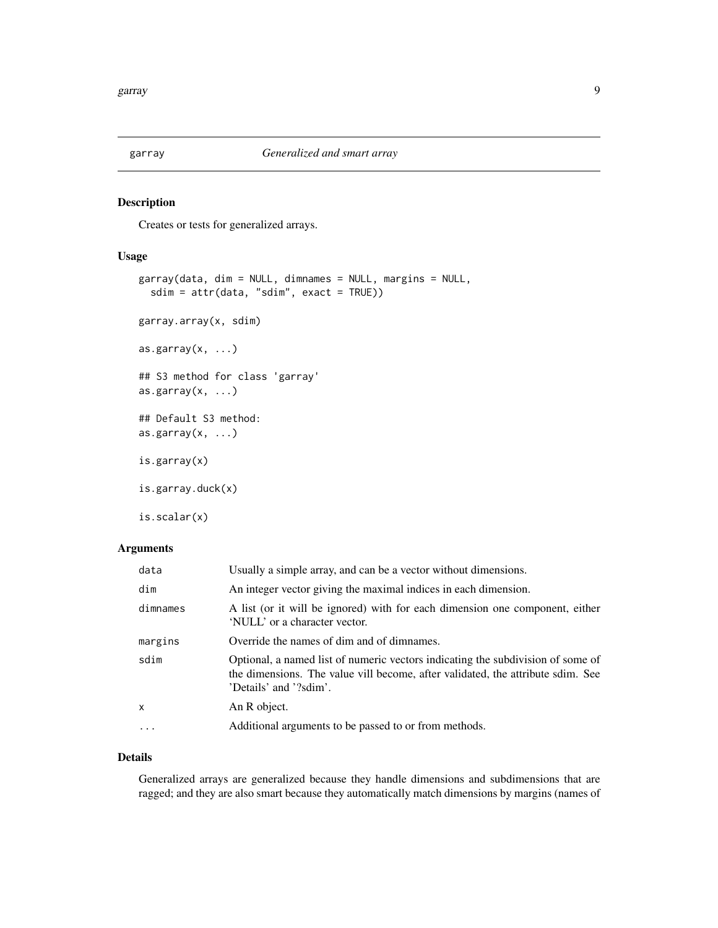<span id="page-8-0"></span>

## Description

Creates or tests for generalized arrays.

## Usage

```
garray(data, dim = NULL, dimnames = NULL, margins = NULL,
  sdim = attr(data, "sdim", exact = TRUE))
garray.array(x, sdim)
as.garray(x, \ldots)## S3 method for class 'garray'
as.garray(x, \ldots)## Default S3 method:
as.garray(x, \ldots)is.garray(x)
is.garray.duck(x)
is.scalar(x)
```
## Arguments

| data         | Usually a simple array, and can be a vector without dimensions.                                                                                                                              |
|--------------|----------------------------------------------------------------------------------------------------------------------------------------------------------------------------------------------|
| dim          | An integer vector giving the maximal indices in each dimension.                                                                                                                              |
| dimnames     | A list (or it will be ignored) with for each dimension one component, either<br>'NULL' or a character vector.                                                                                |
| margins      | Override the names of dim and of dimnames.                                                                                                                                                   |
| sdim         | Optional, a named list of numeric vectors indicating the subdivision of some of<br>the dimensions. The value vill become, after validated, the attribute sdim. See<br>'Details' and '?sdim'. |
| $\mathsf{x}$ | An R object.                                                                                                                                                                                 |
| $\cdot$      | Additional arguments to be passed to or from methods.                                                                                                                                        |
|              |                                                                                                                                                                                              |

## Details

Generalized arrays are generalized because they handle dimensions and subdimensions that are ragged; and they are also smart because they automatically match dimensions by margins (names of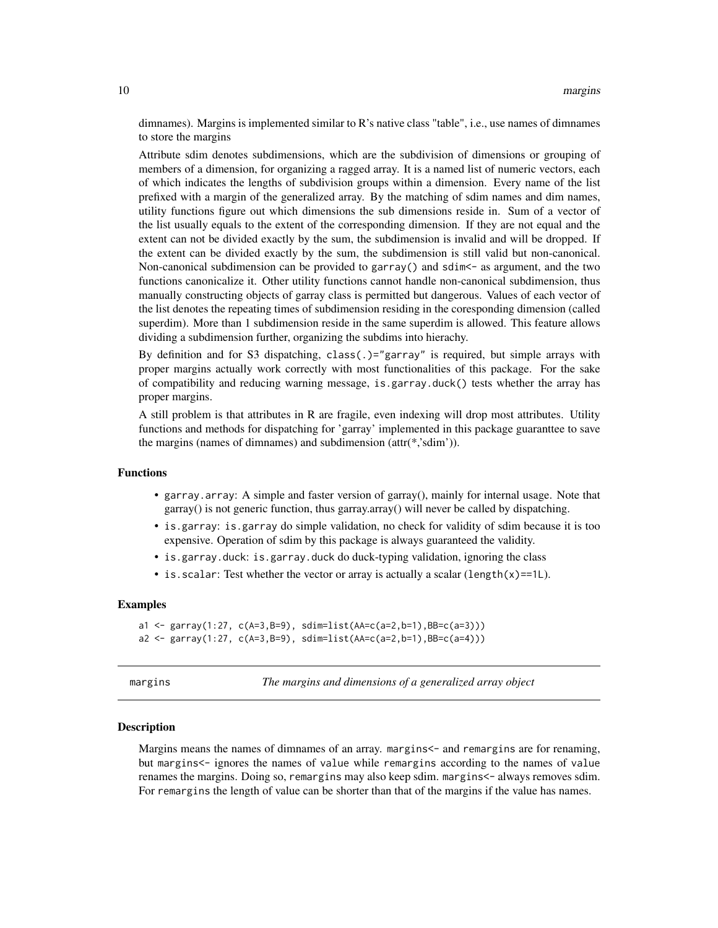<span id="page-9-0"></span>dimnames). Margins is implemented similar to R's native class "table", i.e., use names of dimnames to store the margins

Attribute sdim denotes subdimensions, which are the subdivision of dimensions or grouping of members of a dimension, for organizing a ragged array. It is a named list of numeric vectors, each of which indicates the lengths of subdivision groups within a dimension. Every name of the list prefixed with a margin of the generalized array. By the matching of sdim names and dim names, utility functions figure out which dimensions the sub dimensions reside in. Sum of a vector of the list usually equals to the extent of the corresponding dimension. If they are not equal and the extent can not be divided exactly by the sum, the subdimension is invalid and will be dropped. If the extent can be divided exactly by the sum, the subdimension is still valid but non-canonical. Non-canonical subdimension can be provided to garray() and sdim <- as argument, and the two functions canonicalize it. Other utility functions cannot handle non-canonical subdimension, thus manually constructing objects of garray class is permitted but dangerous. Values of each vector of the list denotes the repeating times of subdimension residing in the coresponding dimension (called superdim). More than 1 subdimension reside in the same superdim is allowed. This feature allows dividing a subdimension further, organizing the subdims into hierachy.

By definition and for S3 dispatching, class(.)="garray" is required, but simple arrays with proper margins actually work correctly with most functionalities of this package. For the sake of compatibility and reducing warning message, is.garray.duck() tests whether the array has proper margins.

A still problem is that attributes in R are fragile, even indexing will drop most attributes. Utility functions and methods for dispatching for 'garray' implemented in this package guaranttee to save the margins (names of dimnames) and subdimension (attr(\*,'sdim')).

#### Functions

- garray.array: A simple and faster version of garray(), mainly for internal usage. Note that garray() is not generic function, thus garray.array() will never be called by dispatching.
- is.garray: is.garray do simple validation, no check for validity of sdim because it is too expensive. Operation of sdim by this package is always guaranteed the validity.
- is.garray.duck: is.garray.duck do duck-typing validation, ignoring the class
- is.scalar: Test whether the vector or array is actually a scalar (length(x)==1L).

#### Examples

```
a1 <- garray(1:27, c(A=3,B=9), sdim=list(AA=c(a=2,b=1),BB=c(a=3)))
a2 <- garray(1:27, c(A=3,B=9), sdim=list(AA=c(a=2,b=1),BB=c(a=4)))
```
margins *The margins and dimensions of a generalized array object*

#### **Description**

Margins means the names of dimnames of an array. margins<- and remargins are for renaming, but margins<- ignores the names of value while remargins according to the names of value renames the margins. Doing so, remargins may also keep sdim. margins<- always removes sdim. For remargins the length of value can be shorter than that of the margins if the value has names.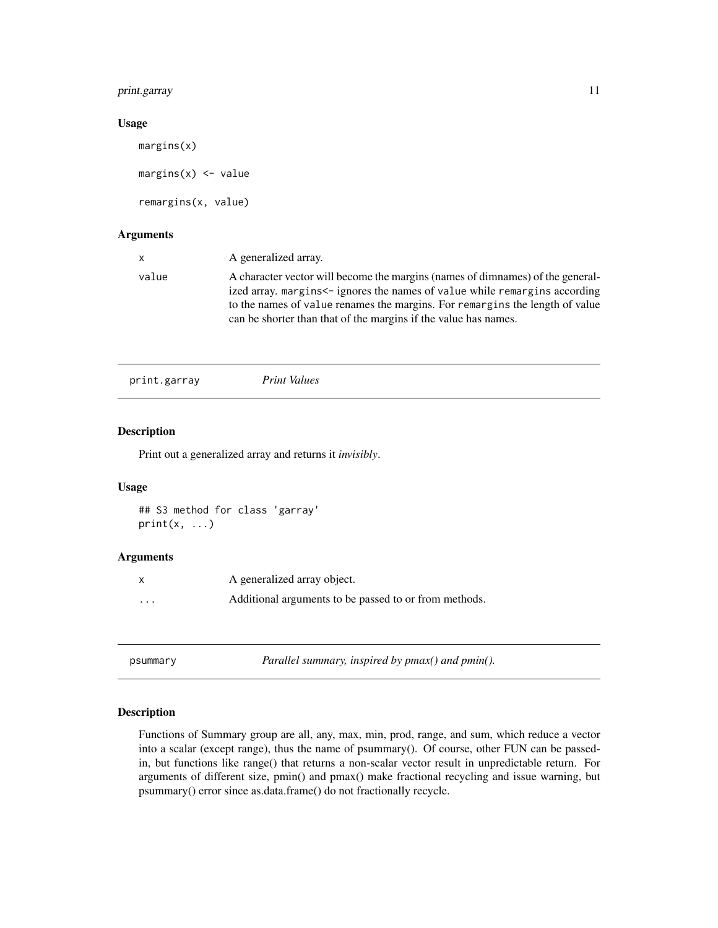## <span id="page-10-0"></span>print.garray 11

## Usage

margins(x)  $margins(x) \leq w$ alue remargins(x, value)

## Arguments

| x.    | A generalized array.                                                                                                                                                                                                                                                                                            |
|-------|-----------------------------------------------------------------------------------------------------------------------------------------------------------------------------------------------------------------------------------------------------------------------------------------------------------------|
| value | A character vector will become the margins (names of dimnames) of the general-<br>ized array, margins<- ignores the names of value while remargins according<br>to the names of value renames the margins. For remargins the length of value<br>can be shorter than that of the margins if the value has names. |
|       |                                                                                                                                                                                                                                                                                                                 |

## Description

Print out a generalized array and returns it *invisibly*.

## Usage

```
## S3 method for class 'garray'
print(x, \ldots)
```
## Arguments

|         | A generalized array object.                           |
|---------|-------------------------------------------------------|
| $\cdot$ | Additional arguments to be passed to or from methods. |

psummary *Parallel summary, inspired by pmax() and pmin().*

## Description

Functions of Summary group are all, any, max, min, prod, range, and sum, which reduce a vector into a scalar (except range), thus the name of psummary(). Of course, other FUN can be passedin, but functions like range() that returns a non-scalar vector result in unpredictable return. For arguments of different size, pmin() and pmax() make fractional recycling and issue warning, but psummary() error since as.data.frame() do not fractionally recycle.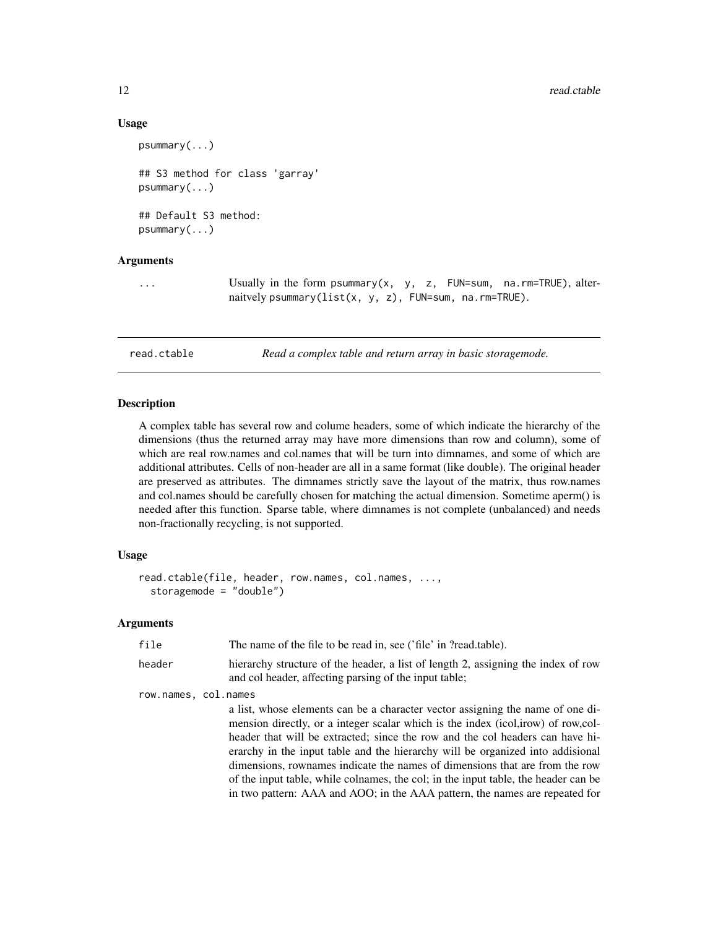## Usage

```
psummary(...)
## S3 method for class 'garray'
psummary(...)
## Default S3 method:
psummary(...)
```
## Arguments

... Usually in the form psummary(x, y, z, FUN=sum, na.rm=TRUE), alternaitvely psummary(list(x, y, z), FUN=sum, na.rm=TRUE).

read.ctable *Read a complex table and return array in basic storagemode.*

#### Description

A complex table has several row and colume headers, some of which indicate the hierarchy of the dimensions (thus the returned array may have more dimensions than row and column), some of which are real row.names and col.names that will be turn into dimnames, and some of which are additional attributes. Cells of non-header are all in a same format (like double). The original header are preserved as attributes. The dimnames strictly save the layout of the matrix, thus row.names and col.names should be carefully chosen for matching the actual dimension. Sometime aperm() is needed after this function. Sparse table, where dimnames is not complete (unbalanced) and needs non-fractionally recycling, is not supported.

## Usage

```
read.ctable(file, header, row.names, col.names, ...,
  storagemode = "double")
```

| file                 | The name of the file to be read in, see ('file' in ?read.table).                                                                           |
|----------------------|--------------------------------------------------------------------------------------------------------------------------------------------|
| header               | hierarchy structure of the header, a list of length 2, assigning the index of row<br>and col header, affecting parsing of the input table; |
| row.names, col.names |                                                                                                                                            |
|                      | a list, whose elements can be a character vector assigning the name of one di-                                                             |
|                      | mension directly, or a integer scalar which is the index (icol, irow) of row, col-                                                         |
|                      | header that will be extracted; since the row and the col headers can have hi-                                                              |
|                      | erarchy in the input table and the hierarchy will be organized into addisional                                                             |
|                      | dimensions, rownames indicate the names of dimensions that are from the row                                                                |
|                      | of the input table, while colnames, the col; in the input table, the header can be                                                         |
|                      | in two pattern: AAA and AOO; in the AAA pattern, the names are repeated for                                                                |

<span id="page-11-0"></span>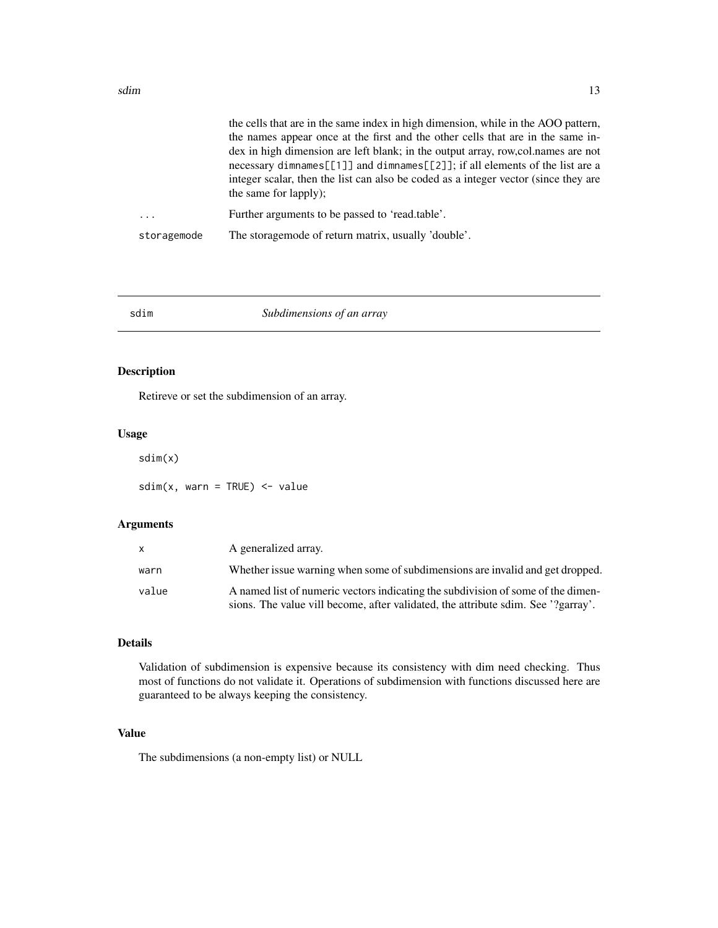<span id="page-12-0"></span>

|             | the cells that are in the same index in high dimension, while in the AOO pattern,                                                                                                            |
|-------------|----------------------------------------------------------------------------------------------------------------------------------------------------------------------------------------------|
|             | the names appear once at the first and the other cells that are in the same in-                                                                                                              |
|             | dex in high dimension are left blank; in the output array, row, col. names are not                                                                                                           |
|             | necessary dimnames[[1]] and dimnames[[2]]; if all elements of the list are a<br>integer scalar, then the list can also be coded as a integer vector (since they are<br>the same for lapply); |
|             | Further arguments to be passed to 'read.table'.                                                                                                                                              |
| storagemode | The storage mode of return matrix, usually 'double'.                                                                                                                                         |
|             |                                                                                                                                                                                              |

#### sdim *Subdimensions of an array*

## Description

Retireve or set the subdimension of an array.

#### Usage

sdim(x)

 $sdim(x, warn = TRUE)$  <- value

## Arguments

| X.    | A generalized array.                                                                                                                                                  |
|-------|-----------------------------------------------------------------------------------------------------------------------------------------------------------------------|
| warn  | Whether issue warning when some of subdimensions are invalid and get dropped.                                                                                         |
| value | A named list of numeric vectors indicating the subdivision of some of the dimen-<br>sions. The value vill become, after validated, the attribute sdim. See '?garray'. |

## Details

Validation of subdimension is expensive because its consistency with dim need checking. Thus most of functions do not validate it. Operations of subdimension with functions discussed here are guaranteed to be always keeping the consistency.

## Value

The subdimensions (a non-empty list) or NULL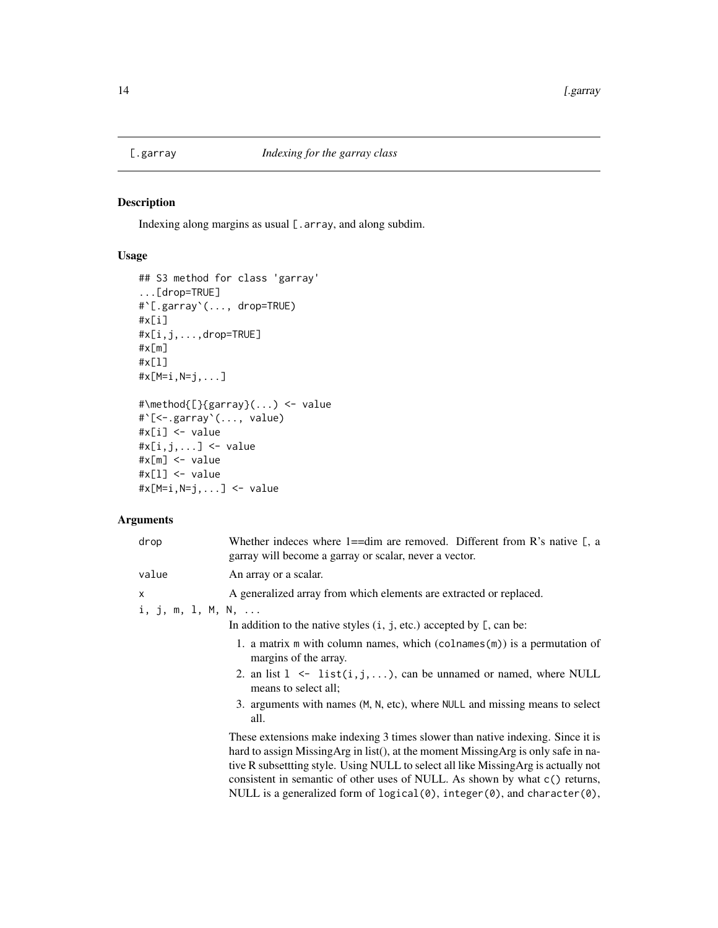<span id="page-13-0"></span>

## Description

Indexing along margins as usual  $[$ .  $array$ , and along subdim.

## Usage

```
## S3 method for class 'garray'
...[drop=TRUE]
#`[.garray`(..., drop=TRUE)
#x[i]
#x[i,j,...,drop=TRUE]
#x[m]
#x[l]
#x[M=i,N=j,...]
#\method{[}{garray}(...) <- value
#`[<-.garray`(..., value)
#x[i] <- value
\#x[i,j,...] <- value
#x[m] <- value
#x[l] <- value
#x[M=i,N=j,...] <- value
```
## Arguments

| drop              | Whether indeces where 1= $=$ dim are removed. Different from R's native [, a<br>garray will become a garray or scalar, never a vector.                                                                                                                                                                                                       |
|-------------------|----------------------------------------------------------------------------------------------------------------------------------------------------------------------------------------------------------------------------------------------------------------------------------------------------------------------------------------------|
| value             | An array or a scalar.                                                                                                                                                                                                                                                                                                                        |
| x                 | A generalized array from which elements are extracted or replaced.                                                                                                                                                                                                                                                                           |
| i, j, m, 1, M, N, |                                                                                                                                                                                                                                                                                                                                              |
|                   | In addition to the native styles $(i, j, etc.)$ accepted by $[$ , can be:                                                                                                                                                                                                                                                                    |
|                   | 1. a matrix $m$ with column names, which (colnames $(m)$ ) is a permutation of<br>margins of the array.                                                                                                                                                                                                                                      |
|                   | 2. an list $1 \le$ list(i,j,), can be unnamed or named, where NULL<br>means to select all:                                                                                                                                                                                                                                                   |
|                   | 3. arguments with names (M, N, etc), where NULL and missing means to select<br>all.                                                                                                                                                                                                                                                          |
|                   | These extensions make indexing 3 times slower than native indexing. Since it is<br>hard to assign Missing Arg in list(), at the moment Missing Arg is only safe in na-<br>tive R subsettting style. Using NULL to select all like Missing Arg is actually not<br>consistent in semantic of other uses of NULL. As shown by what c() returns, |

NULL is a generalized form of logical(0), integer(0), and character(0),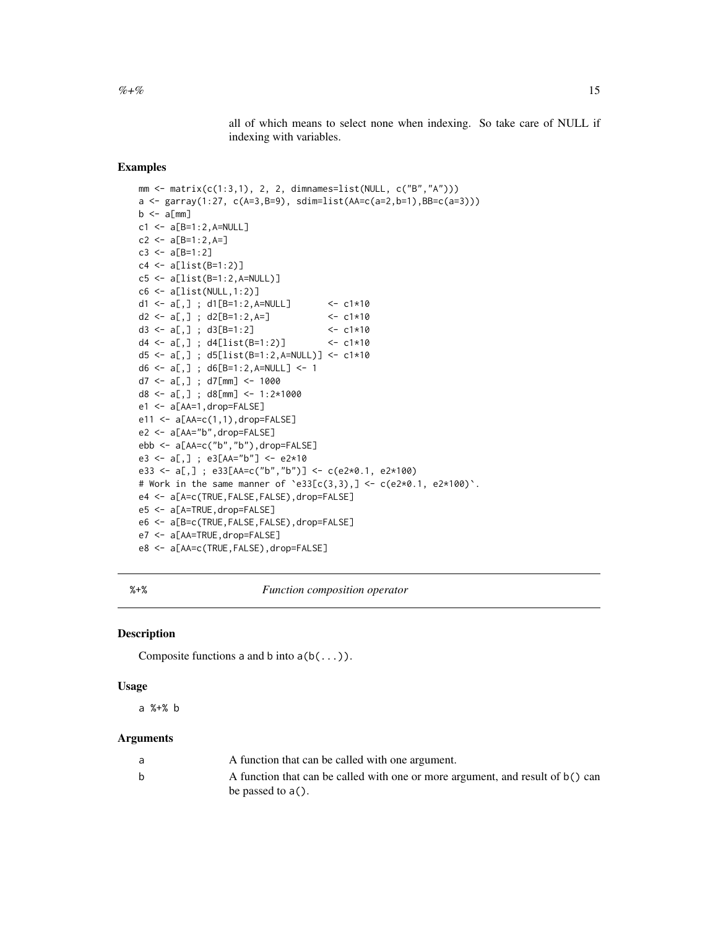all of which means to select none when indexing. So take care of NULL if indexing with variables.

### <span id="page-14-0"></span>Examples

```
mm <- matrix(c(1:3,1), 2, 2, dimnames=list(NULL, c("B","A")))
a <- garray(1:27, c(A=3,B=9), sdim=list(AA=c(a=2,b=1),BB=c(a=3)))
b \leq a[mm]c1 <- a[B=1:2,A=NULL]
c2 <- a[B=1:2,A=]c3 \leq a[B=1:2]c4 <- a[list(B=1:2)]
c5 <- a[list(B=1:2,A=NULL)]
c6 \leftarrow a[List(NULL, 1:2)]d1 <- a[,] ; d1[B=1:2,A=NULL] <- c1*10
d2 <- a[,] ; d2[B=1:2,A=] <- c1*10
d3 <- a[,] ; d3[B=1:2] <- c1*10
d4 <- a[,] ; d4[list(B=1:2)] <- c1*10
d5 <- a[,] ; d5[list(B=1:2,A=NULL)] <- c1*10
d6 <- a[,] ; d6[B=1:2,A=NULL] <- 1
d7 <- a[,] ; d7[mm] <- 1000
d8 <- a[,] ; d8[mm] <- 1:2*1000
e1 <- a[AA=1,drop=FALSE]
e11 <- a[AA=c(1,1),drop=FALSE]
e2 <- a[AA="b",drop=FALSE]
ebb <- a[AA=c("b","b"),drop=FALSE]
e3 <- a[,] ; e3[AA="b"] <- e2*10
e33 <- a[,] ; e33[AA=c("b","b")] <- c(e2*0.1, e2*100)
# Work in the same manner of \text{e33}[c(3,3),] < -c(e^{2*0.1}, e^{2*100}).
e4 <- a[A=c(TRUE,FALSE,FALSE),drop=FALSE]
e5 <- a[A=TRUE,drop=FALSE]
e6 <- a[B=c(TRUE,FALSE,FALSE),drop=FALSE]
e7 <- a[AA=TRUE,drop=FALSE]
e8 <- a[AA=c(TRUE,FALSE),drop=FALSE]
```
%+% *Function composition operator*

#### Description

Composite functions a and b into  $a(b(...))$ .

#### Usage

a %+% b

| A function that can be called with one argument.                               |
|--------------------------------------------------------------------------------|
| A function that can be called with one or more argument, and result of b() can |
| be passed to $a()$ .                                                           |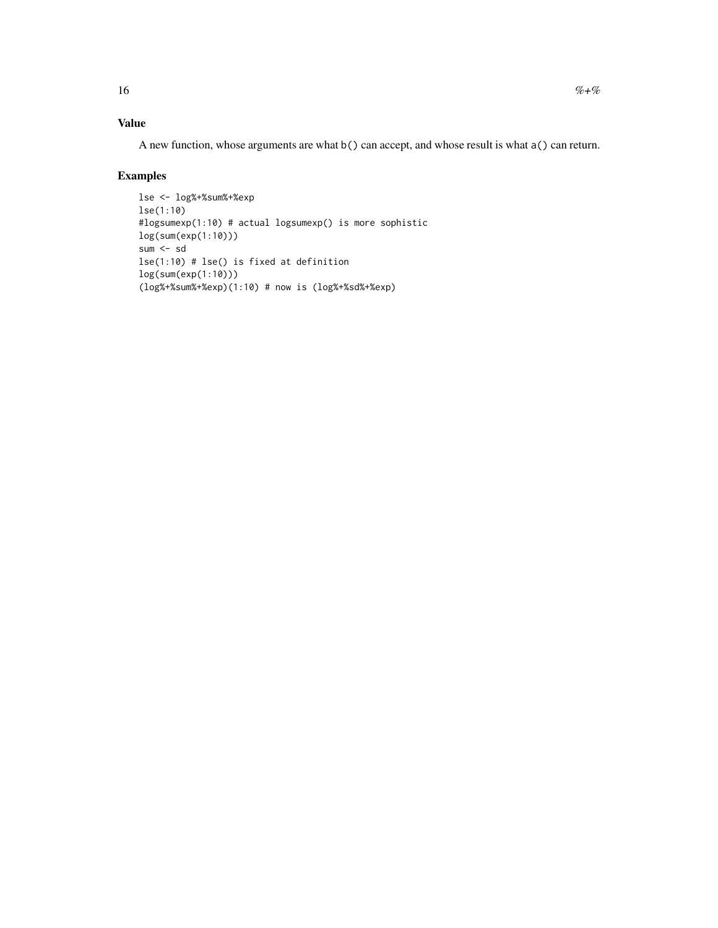A new function, whose arguments are what b() can accept, and whose result is what a() can return.

## Examples

```
lse <- log%+%sum%+%exp
lse(1:10)
#logsumexp(1:10) # actual logsumexp() is more sophistic
log(sum(exp(1:10)))
sum <- sd
lse(1:10) # lse() is fixed at definition
log(sum(exp(1:10)))
(log%+%sum%+%exp)(1:10) # now is (log%+%sd%+%exp)
```